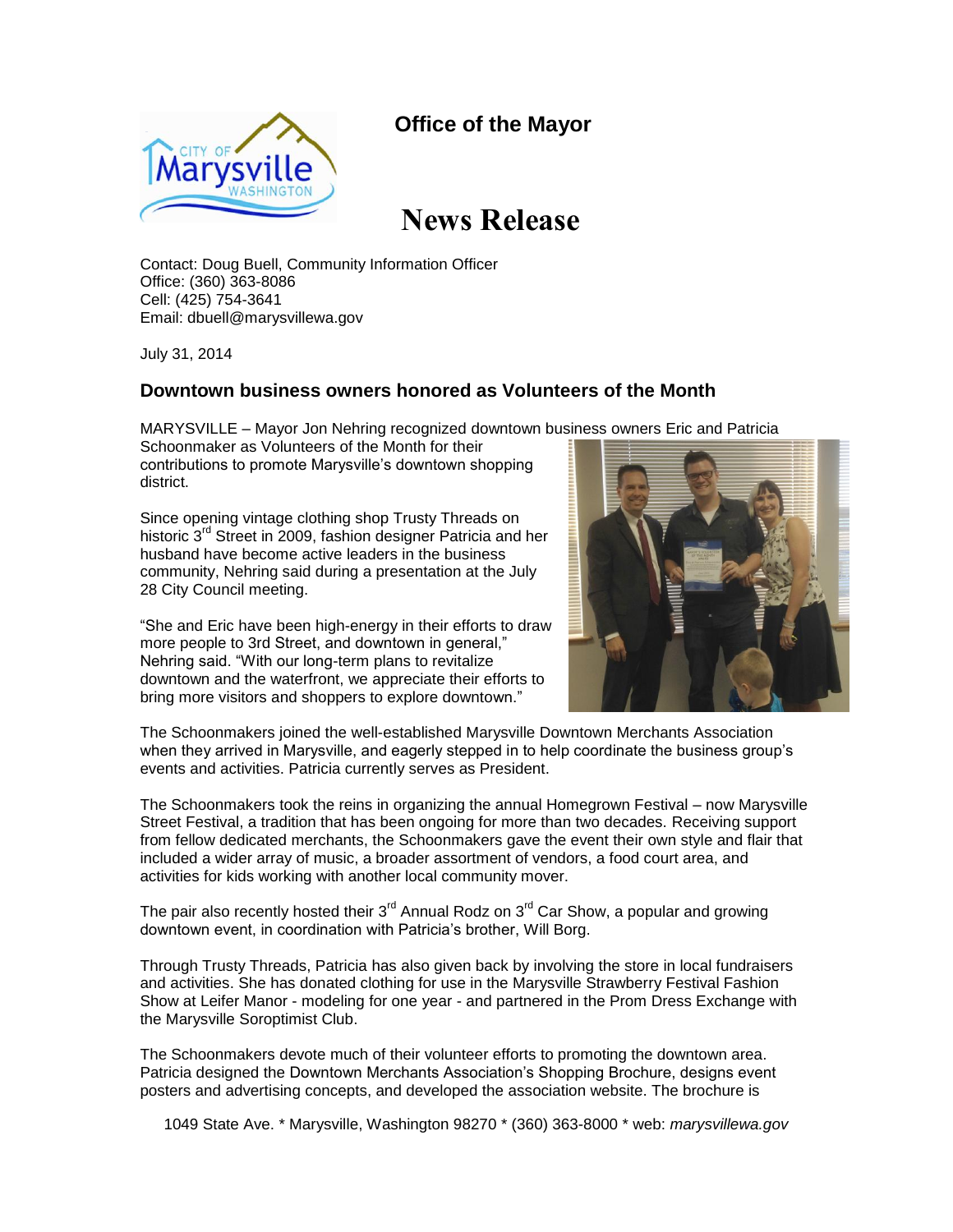## **Office of the Mayor**



## **News Release**

Contact: Doug Buell, Community Information Officer Office: (360) 363-8086 Cell: (425) 754-3641 Email: dbuell@marysvillewa.gov

July 31, 2014

## **Downtown business owners honored as Volunteers of the Month**

MARYSVILLE – Mayor Jon Nehring recognized downtown business owners Eric and Patricia

Schoonmaker as Volunteers of the Month for their contributions to promote Marysville's downtown shopping district.

Since opening vintage clothing shop Trusty Threads on historic 3<sup>rd</sup> Street in 2009, fashion designer Patricia and her husband have become active leaders in the business community, Nehring said during a presentation at the July 28 City Council meeting.

"She and Eric have been high-energy in their efforts to draw more people to 3rd Street, and downtown in general," Nehring said. "With our long-term plans to revitalize downtown and the waterfront, we appreciate their efforts to bring more visitors and shoppers to explore downtown."



The Schoonmakers joined the well-established Marysville Downtown Merchants Association when they arrived in Marysville, and eagerly stepped in to help coordinate the business group's events and activities. Patricia currently serves as President.

The Schoonmakers took the reins in organizing the annual Homegrown Festival – now Marysville Street Festival, a tradition that has been ongoing for more than two decades. Receiving support from fellow dedicated merchants, the Schoonmakers gave the event their own style and flair that included a wider array of music, a broader assortment of vendors, a food court area, and activities for kids working with another local community mover.

The pair also recently hosted their  $3^{rd}$  Annual Rodz on  $3^{rd}$  Car Show, a popular and growing downtown event, in coordination with Patricia's brother, Will Borg.

Through Trusty Threads, Patricia has also given back by involving the store in local fundraisers and activities. She has donated clothing for use in the Marysville Strawberry Festival Fashion Show at Leifer Manor - modeling for one year - and partnered in the Prom Dress Exchange with the Marysville Soroptimist Club.

The Schoonmakers devote much of their volunteer efforts to promoting the downtown area. Patricia designed the Downtown Merchants Association's Shopping Brochure, designs event posters and advertising concepts, and developed the association website. The brochure is

1049 State Ave. \* Marysville, Washington 98270 \* (360) 363-8000 \* web: *marysvillewa.gov*